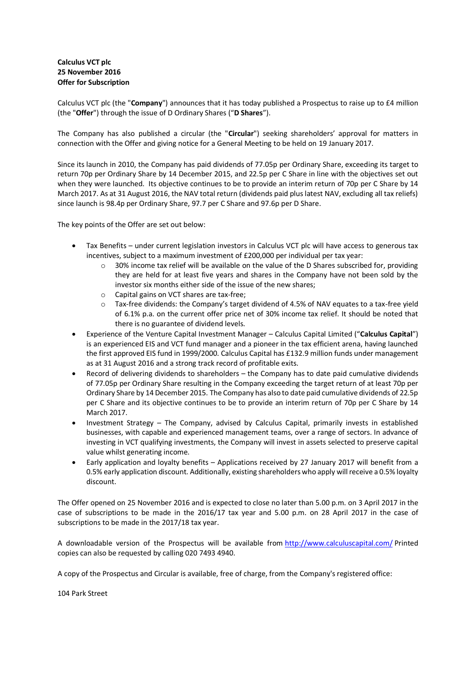## **Calculus VCT plc 25 November 2016 Offer for Subscription**

Calculus VCT plc (the "**Company**") announces that it has today published a Prospectus to raise up to £4 million (the "**Offer**") through the issue of D Ordinary Shares ("**D Shares**").

The Company has also published a circular (the "**Circular**") seeking shareholders' approval for matters in connection with the Offer and giving notice for a General Meeting to be held on 19 January 2017.

Since its launch in 2010, the Company has paid dividends of 77.05p per Ordinary Share, exceeding its target to return 70p per Ordinary Share by 14 December 2015, and 22.5p per C Share in line with the objectives set out when they were launched. Its objective continues to be to provide an interim return of 70p per C Share by 14 March 2017. As at 31 August 2016, the NAV total return (dividends paid plus latest NAV, excluding all tax reliefs) since launch is 98.4p per Ordinary Share, 97.7 per C Share and 97.6p per D Share.

The key points of the Offer are set out below:

- Tax Benefits under current legislation investors in Calculus VCT plc will have access to generous tax incentives, subject to a maximum investment of £200,000 per individual per tax year:
	- o 30% income tax relief will be available on the value of the D Shares subscribed for, providing they are held for at least five years and shares in the Company have not been sold by the investor six months either side of the issue of the new shares;
	- o Capital gains on VCT shares are tax-free;
	- o Tax-free dividends: the Company's target dividend of 4.5% of NAV equates to a tax-free yield of 6.1% p.a. on the current offer price net of 30% income tax relief. It should be noted that there is no guarantee of dividend levels.
- Experience of the Venture Capital Investment Manager Calculus Capital Limited ("**Calculus Capital**") is an experienced EIS and VCT fund manager and a pioneer in the tax efficient arena, having launched the first approved EIS fund in 1999/2000. Calculus Capital has £132.9 million funds under management as at 31 August 2016 and a strong track record of profitable exits.
- Record of delivering dividends to shareholders the Company has to date paid cumulative dividends of 77.05p per Ordinary Share resulting in the Company exceeding the target return of at least 70p per Ordinary Share by 14 December 2015. The Company has also to date paid cumulative dividends of 22.5p per C Share and its objective continues to be to provide an interim return of 70p per C Share by 14 March 2017.
- Investment Strategy The Company, advised by Calculus Capital, primarily invests in established businesses, with capable and experienced management teams, over a range of sectors. In advance of investing in VCT qualifying investments, the Company will invest in assets selected to preserve capital value whilst generating income.
- Early application and loyalty benefits Applications received by 27 January 2017 will benefit from a 0.5% early application discount. Additionally, existing shareholders who apply will receive a 0.5% loyalty discount.

The Offer opened on 25 November 2016 and is expected to close no later than 5.00 p.m. on 3 April 2017 in the case of subscriptions to be made in the 2016/17 tax year and 5.00 p.m. on 28 April 2017 in the case of subscriptions to be made in the 2017/18 tax year.

A downloadable version of the Prospectus will be available from <http://www.calculuscapital.com/> Printed copies can also be requested by calling 020 7493 4940.

A copy of the Prospectus and Circular is available, free of charge, from the Company's registered office:

104 Park Street